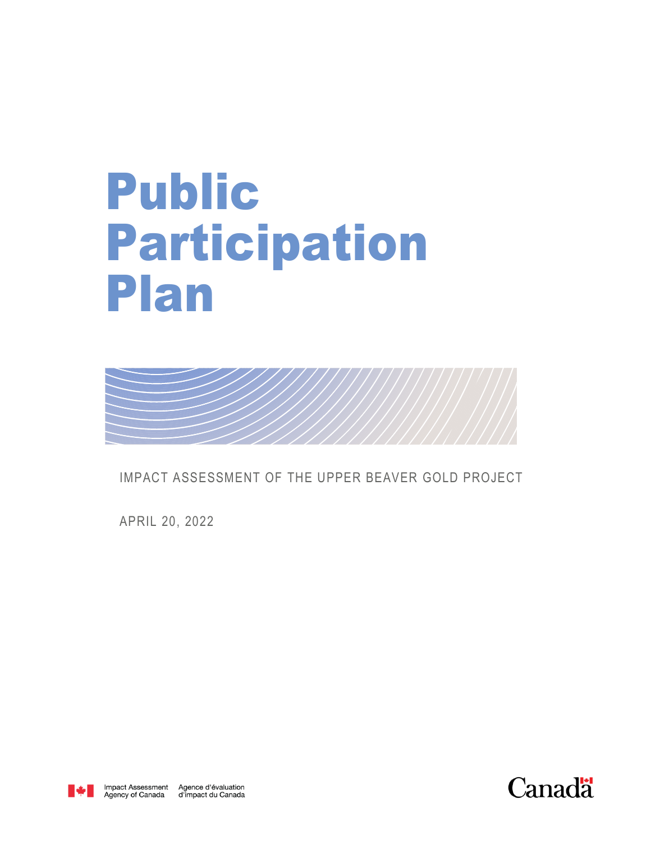## Public Participation Plan



IMPACT ASSESSMENT OF THE UPPER BEAVER GOLD PROJECT

APRIL 20, 2022



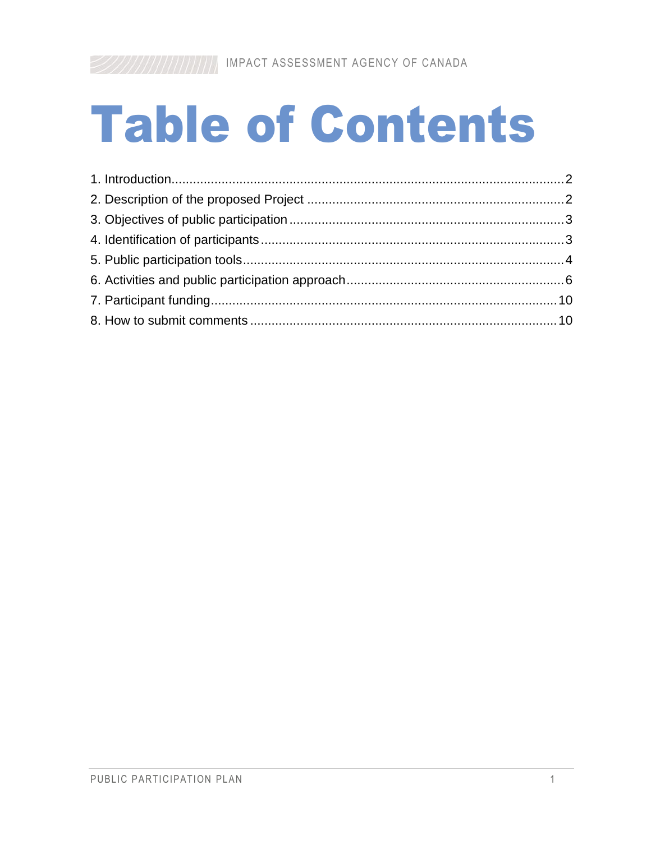# **Table of Contents**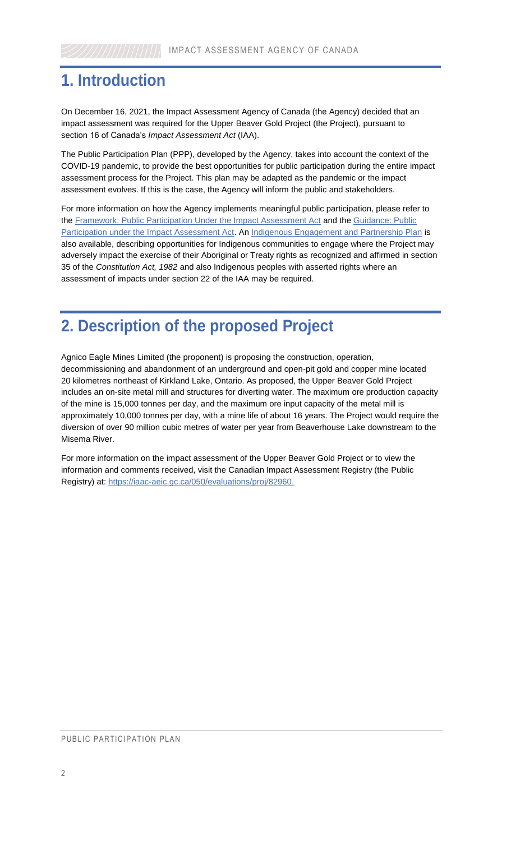#### <span id="page-2-0"></span>**1. Introduction**

On December 16, 2021, the Impact Assessment Agency of Canada (the Agency) decided that an impact assessment was required for the Upper Beaver Gold Project (the Project), pursuant to section 16 of Canada's *Impact Assessment Act* (IAA).

<span id="page-2-1"></span>The Public Participation Plan (PPP), developed by the Agency, takes into account the context of the COVID-19 pandemic, to provide the best opportunities for public participation during the entire impact assessment process for the Project. This plan may be adapted as the pandemic or the impact assessment evolves. If this is the case, the Agency will inform the public and stakeholders.

For more information on how the Agency implements meaningful public participation, please refer to the [Framework: Public Participation Under the Impact Assessment Act](https://www.canada.ca/en/impact-assessment-agency/services/policy-guidance/practitioners-guide-impact-assessment-act/framework-public-participation.html) and the [Guidance: Public](https://www.canada.ca/en/impact-assessment-agency/services/policy-guidance/practitioners-guide-impact-assessment-act/guidance-public-particaption-impact.html)  [Participation under the Impact Assessment Act.](https://www.canada.ca/en/impact-assessment-agency/services/policy-guidance/practitioners-guide-impact-assessment-act/guidance-public-particaption-impact.html) An [Indigenous Engagement and Partnership Plan](http://iaac-aeic.gc.ca/050/evaluations/document/143584?culture=en-CA) is also available, describing opportunities for Indigenous communities to engage where the Project may adversely impact the exercise of their Aboriginal or Treaty rights as recognized and affirmed in section 35 of the *Constitution Act, 1982* and also Indigenous peoples with asserted rights where an assessment of impacts under section 22 of the IAA may be required.

#### **2. Description of the proposed Project**

Agnico Eagle Mines Limited (the proponent) is proposing the construction, operation, decommissioning and abandonment of an underground and open-pit gold and copper mine located 20 kilometres northeast of Kirkland Lake, Ontario. As proposed, the Upper Beaver Gold Project includes an on-site metal mill and structures for diverting water. The maximum ore production capacity of the mine is 15,000 tonnes per day, and the maximum ore input capacity of the metal mill is approximately 10,000 tonnes per day, with a mine life of about 16 years. The Project would require the diversion of over 90 million cubic metres of water per year from Beaverhouse Lake downstream to the Misema River.

For more information on the impact assessment of the Upper Beaver Gold Project or to view the information and comments received, visit the Canadian Impact Assessment Registry (the Public Registry) at: [https://iaac-aeic.gc.ca/050/evaluations/proj/82960.](https://iaac-aeic.gc.ca/050/evaluations/proj/82960)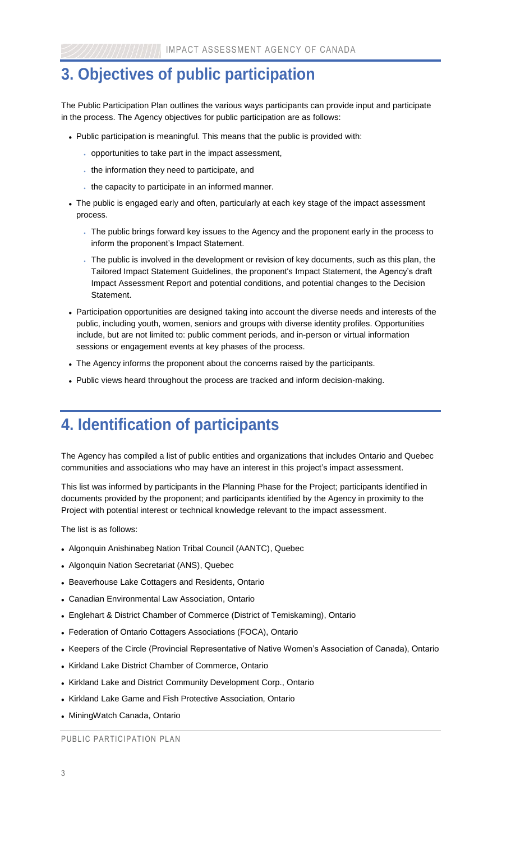#### <span id="page-3-0"></span>**3. Objectives of public participation**

The Public Participation Plan outlines the various ways participants can provide input and participate in the process. The Agency objectives for public participation are as follows:

- Public participation is meaningful. This means that the public is provided with:
	- opportunities to take part in the impact assessment,
	- the information they need to participate, and
	- the capacity to participate in an informed manner.
- <span id="page-3-1"></span> The public is engaged early and often, particularly at each key stage of the impact assessment process.
	- The public brings forward key issues to the Agency and the proponent early in the process to inform the proponent's Impact Statement.
	- The public is involved in the development or revision of key documents, such as this plan, the Tailored Impact Statement Guidelines, the proponent's Impact Statement, the Agency's draft Impact Assessment Report and potential conditions, and potential changes to the Decision Statement.
- Participation opportunities are designed taking into account the diverse needs and interests of the public, including youth, women, seniors and groups with diverse identity profiles. Opportunities include, but are not limited to: public comment periods, and in-person or virtual information sessions or engagement events at key phases of the process.
- The Agency informs the proponent about the concerns raised by the participants.
- Public views heard throughout the process are tracked and inform decision-making.

#### **4. Identification of participants**

The Agency has compiled a list of public entities and organizations that includes Ontario and Quebec communities and associations who may have an interest in this project's impact assessment.

This list was informed by participants in the Planning Phase for the Project; participants identified in documents provided by the proponent; and participants identified by the Agency in proximity to the Project with potential interest or technical knowledge relevant to the impact assessment.

The list is as follows:

- Algonquin Anishinabeg Nation Tribal Council (AANTC), Quebec
- Algonquin Nation Secretariat (ANS), Quebec
- Beaverhouse Lake Cottagers and Residents, Ontario
- Canadian Environmental Law Association, Ontario
- Englehart & District Chamber of Commerce (District of Temiskaming), Ontario
- Federation of Ontario Cottagers Associations (FOCA), Ontario
- Keepers of the Circle (Provincial Representative of Native Women's Association of Canada), Ontario
- Kirkland Lake District Chamber of Commerce, Ontario
- Kirkland Lake and District Community Development Corp., Ontario
- Kirkland Lake Game and Fish Protective Association, Ontario
- MiningWatch Canada, Ontario

PUBLIC PARTICIPATION PLAN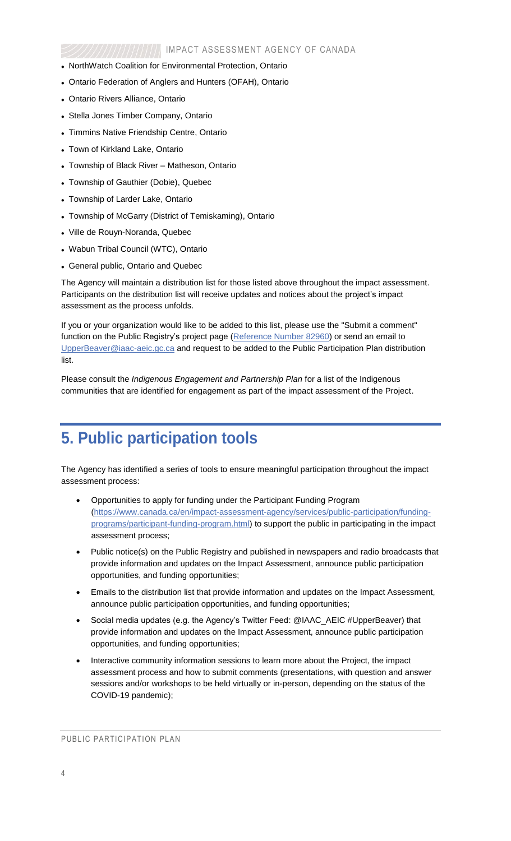- NorthWatch Coalition for Environmental Protection, Ontario
- Ontario Federation of Anglers and Hunters (OFAH), Ontario
- Ontario Rivers Alliance, Ontario
- Stella Jones Timber Company, Ontario
- Timmins Native Friendship Centre, Ontario
- Town of Kirkland Lake, Ontario
- Township of Black River Matheson, Ontario
- Township of Gauthier (Dobie), Quebec
- Township of Larder Lake, Ontario
- Township of McGarry (District of Temiskaming), Ontario
- Ville de Rouyn-Noranda, Quebec
- <span id="page-4-0"></span>Wabun Tribal Council (WTC), Ontario
- General public, Ontario and Quebec

The Agency will maintain a distribution list for those listed above throughout the impact assessment. Participants on the distribution list will receive updates and notices about the project's impact assessment as the process unfolds.

If you or your organization would like to be added to this list, please use the "Submit a comment" function on the Public Registry's project page [\(Reference Number 82960\)](https://iaac-aeic.gc.ca/050/evaluations/proj/82960?culture=en-CA) or send an email to [UpperBeaver@iaac-aeic.gc.ca](mailto:UpperBeaver@iaac-aeic.gc.ca) and request to be added to the Public Participation Plan distribution list.

Please consult the *Indigenous Engagement and Partnership Plan* for a list of the Indigenous communities that are identified for engagement as part of the impact assessment of the Project.

#### **5. Public participation tools**

The Agency has identified a series of tools to ensure meaningful participation throughout the impact assessment process:

- Opportunities to apply for funding under the Participant Funding Program [\(https://www.canada.ca/en/impact-assessment-agency/services/public-participation/funding](https://www.canada.ca/en/impact-assessment-agency/services/public-participation/funding-programs/participant-funding-program.html)[programs/participant-funding-program.html\)](https://www.canada.ca/en/impact-assessment-agency/services/public-participation/funding-programs/participant-funding-program.html) to support the public in participating in the impact assessment process;
- Public notice(s) on the Public Registry and published in newspapers and radio broadcasts that provide information and updates on the Impact Assessment, announce public participation opportunities, and funding opportunities;
- Emails to the distribution list that provide information and updates on the Impact Assessment, announce public participation opportunities, and funding opportunities;
- Social media updates (e.g. the Agency's Twitter Feed: @IAAC\_AEIC #UpperBeaver) that provide information and updates on the Impact Assessment, announce public participation opportunities, and funding opportunities;
- Interactive community information sessions to learn more about the Project, the impact assessment process and how to submit comments (presentations, with question and answer sessions and/or workshops to be held virtually or in-person, depending on the status of the COVID-19 pandemic);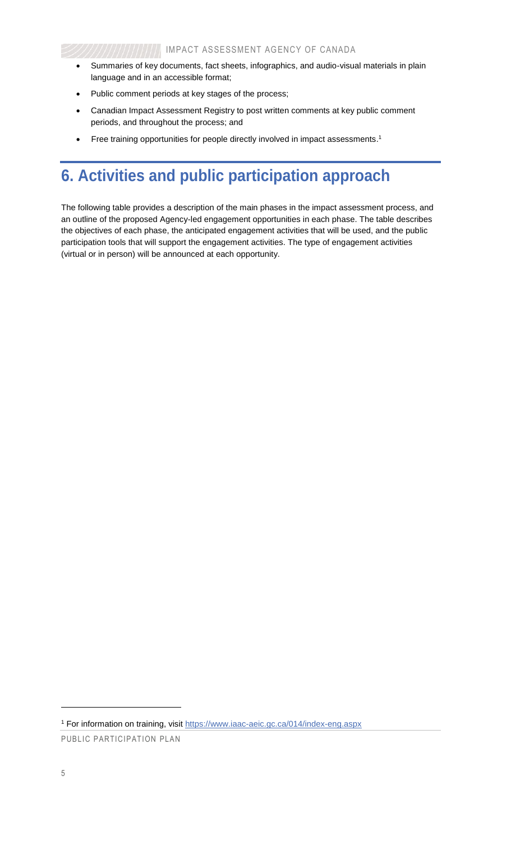- Summaries of key documents, fact sheets, infographics, and audio-visual materials in plain language and in an accessible format;
- Public comment periods at key stages of the process;
- Canadian Impact Assessment Registry to post written comments at key public comment periods, and throughout the process; and
- Free training opportunities for people directly involved in impact assessments.<sup>1</sup>

## **6. Activities and public participation approach**

The following table provides a description of the main phases in the impact assessment process, and an outline of the proposed Agency-led engagement opportunities in each phase. The table describes the objectives of each phase, the anticipated engagement activities that will be used, and the public participation tools that will support the engagement activities. The type of engagement activities (virtual or in person) will be announced at each opportunity.

l

<sup>&</sup>lt;sup>1</sup> For information on training, visit<https://www.iaac-aeic.gc.ca/014/index-eng.aspx>

PUBLIC PARTICIPATION PLAN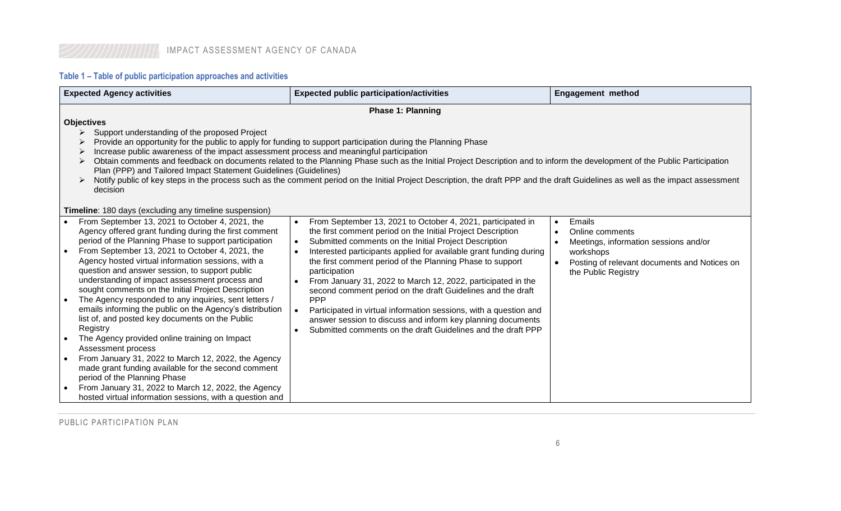#### **Table 1 – Table of public participation approaches and activities**

<span id="page-6-0"></span>

| <b>Expected Agency activities</b>                                                                                                                                                                                                                                                                                                                                                                                                                                                                                                                                                                                                                                                                                                                                                                                                                          | <b>Expected public participation/activities</b>                                                                                                                                                                                                                                                                                                                                                                                                                                                                                                                                                                                                                                                       | <b>Engagement method</b>                                                                                                                                                         |  |  |
|------------------------------------------------------------------------------------------------------------------------------------------------------------------------------------------------------------------------------------------------------------------------------------------------------------------------------------------------------------------------------------------------------------------------------------------------------------------------------------------------------------------------------------------------------------------------------------------------------------------------------------------------------------------------------------------------------------------------------------------------------------------------------------------------------------------------------------------------------------|-------------------------------------------------------------------------------------------------------------------------------------------------------------------------------------------------------------------------------------------------------------------------------------------------------------------------------------------------------------------------------------------------------------------------------------------------------------------------------------------------------------------------------------------------------------------------------------------------------------------------------------------------------------------------------------------------------|----------------------------------------------------------------------------------------------------------------------------------------------------------------------------------|--|--|
| <b>Phase 1: Planning</b>                                                                                                                                                                                                                                                                                                                                                                                                                                                                                                                                                                                                                                                                                                                                                                                                                                   |                                                                                                                                                                                                                                                                                                                                                                                                                                                                                                                                                                                                                                                                                                       |                                                                                                                                                                                  |  |  |
| <b>Objectives</b><br>Support understanding of the proposed Project<br>➤<br>Provide an opportunity for the public to apply for funding to support participation during the Planning Phase<br>Increase public awareness of the impact assessment process and meaningful participation<br>➤<br>Obtain comments and feedback on documents related to the Planning Phase such as the Initial Project Description and to inform the development of the Public Participation<br>➤<br>Plan (PPP) and Tailored Impact Statement Guidelines (Guidelines)<br>Notify public of key steps in the process such as the comment period on the Initial Project Description, the draft PPP and the draft Guidelines as well as the impact assessment<br>decision                                                                                                             |                                                                                                                                                                                                                                                                                                                                                                                                                                                                                                                                                                                                                                                                                                       |                                                                                                                                                                                  |  |  |
| Timeline: 180 days (excluding any timeline suspension)                                                                                                                                                                                                                                                                                                                                                                                                                                                                                                                                                                                                                                                                                                                                                                                                     |                                                                                                                                                                                                                                                                                                                                                                                                                                                                                                                                                                                                                                                                                                       |                                                                                                                                                                                  |  |  |
| From September 13, 2021 to October 4, 2021, the<br>Agency offered grant funding during the first comment<br>period of the Planning Phase to support participation<br>From September 13, 2021 to October 4, 2021, the<br>Agency hosted virtual information sessions, with a<br>question and answer session, to support public<br>understanding of impact assessment process and<br>sought comments on the Initial Project Description<br>The Agency responded to any inquiries, sent letters /<br>$\bullet$<br>emails informing the public on the Agency's distribution<br>list of, and posted key documents on the Public<br>Registry<br>The Agency provided online training on Impact<br>Assessment process<br>From January 31, 2022 to March 12, 2022, the Agency<br>made grant funding available for the second comment<br>period of the Planning Phase | From September 13, 2021 to October 4, 2021, participated in<br>the first comment period on the Initial Project Description<br>Submitted comments on the Initial Project Description<br>$\bullet$<br>Interested participants applied for available grant funding during<br>the first comment period of the Planning Phase to support<br>participation<br>From January 31, 2022 to March 12, 2022, participated in the<br>second comment period on the draft Guidelines and the draft<br><b>PPP</b><br>Participated in virtual information sessions, with a question and<br>answer session to discuss and inform key planning documents<br>Submitted comments on the draft Guidelines and the draft PPP | Emails<br>$\bullet$<br>Online comments<br>Meetings, information sessions and/or<br>workshops<br>Posting of relevant documents and Notices on<br>$\bullet$<br>the Public Registry |  |  |
| From January 31, 2022 to March 12, 2022, the Agency<br>hosted virtual information sessions, with a question and                                                                                                                                                                                                                                                                                                                                                                                                                                                                                                                                                                                                                                                                                                                                            |                                                                                                                                                                                                                                                                                                                                                                                                                                                                                                                                                                                                                                                                                                       |                                                                                                                                                                                  |  |  |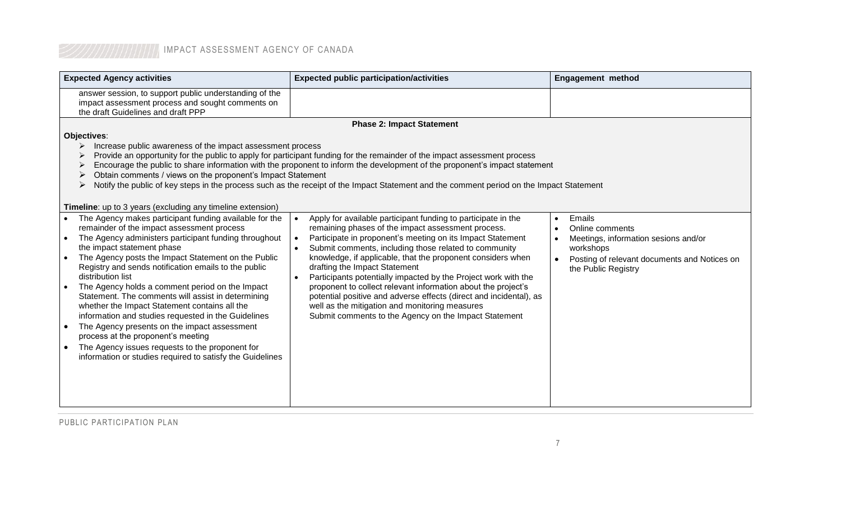#### **IMPACT ASSESSMENT AGENCY OF CANADA**

| <b>Expected Agency activities</b>                                                                                                                                                                                                                                                                                                                                                                                                                                                                                                                                                                                                                                                                                                                      | <b>Expected public participation/activities</b>                                                                                                                                                                                                                                                                                                                                                                                                                                                                                                                                                                                                                | <b>Engagement method</b>                                                                                                                                           |
|--------------------------------------------------------------------------------------------------------------------------------------------------------------------------------------------------------------------------------------------------------------------------------------------------------------------------------------------------------------------------------------------------------------------------------------------------------------------------------------------------------------------------------------------------------------------------------------------------------------------------------------------------------------------------------------------------------------------------------------------------------|----------------------------------------------------------------------------------------------------------------------------------------------------------------------------------------------------------------------------------------------------------------------------------------------------------------------------------------------------------------------------------------------------------------------------------------------------------------------------------------------------------------------------------------------------------------------------------------------------------------------------------------------------------------|--------------------------------------------------------------------------------------------------------------------------------------------------------------------|
| answer session, to support public understanding of the<br>impact assessment process and sought comments on<br>the draft Guidelines and draft PPP                                                                                                                                                                                                                                                                                                                                                                                                                                                                                                                                                                                                       |                                                                                                                                                                                                                                                                                                                                                                                                                                                                                                                                                                                                                                                                |                                                                                                                                                                    |
|                                                                                                                                                                                                                                                                                                                                                                                                                                                                                                                                                                                                                                                                                                                                                        | <b>Phase 2: Impact Statement</b>                                                                                                                                                                                                                                                                                                                                                                                                                                                                                                                                                                                                                               |                                                                                                                                                                    |
| Objectives:                                                                                                                                                                                                                                                                                                                                                                                                                                                                                                                                                                                                                                                                                                                                            |                                                                                                                                                                                                                                                                                                                                                                                                                                                                                                                                                                                                                                                                |                                                                                                                                                                    |
| Increase public awareness of the impact assessment process<br>➤<br>Provide an opportunity for the public to apply for participant funding for the remainder of the impact assessment process<br>➤<br>Encourage the public to share information with the proponent to inform the development of the proponent's impact statement<br>➤<br>Obtain comments / views on the proponent's Impact Statement<br>➤<br>Notify the public of key steps in the process such as the receipt of the Impact Statement and the comment period on the Impact Statement<br>➤                                                                                                                                                                                              |                                                                                                                                                                                                                                                                                                                                                                                                                                                                                                                                                                                                                                                                |                                                                                                                                                                    |
| <b>Timeline:</b> up to 3 years (excluding any timeline extension)                                                                                                                                                                                                                                                                                                                                                                                                                                                                                                                                                                                                                                                                                      |                                                                                                                                                                                                                                                                                                                                                                                                                                                                                                                                                                                                                                                                |                                                                                                                                                                    |
| The Agency makes participant funding available for the<br>remainder of the impact assessment process<br>The Agency administers participant funding throughout<br>the impact statement phase<br>The Agency posts the Impact Statement on the Public<br>Registry and sends notification emails to the public<br>distribution list<br>The Agency holds a comment period on the Impact<br>Statement. The comments will assist in determining<br>whether the Impact Statement contains all the<br>information and studies requested in the Guidelines<br>The Agency presents on the impact assessment<br>process at the proponent's meeting<br>The Agency issues requests to the proponent for<br>information or studies required to satisfy the Guidelines | Apply for available participant funding to participate in the<br>remaining phases of the impact assessment process.<br>Participate in proponent's meeting on its Impact Statement<br>Submit comments, including those related to community<br>knowledge, if applicable, that the proponent considers when<br>drafting the Impact Statement<br>Participants potentially impacted by the Project work with the<br>proponent to collect relevant information about the project's<br>potential positive and adverse effects (direct and incidental), as<br>well as the mitigation and monitoring measures<br>Submit comments to the Agency on the Impact Statement | Emails<br>$\bullet$<br>Online comments<br>Meetings, information sesions and/or<br>workshops<br>Posting of relevant documents and Notices on<br>the Public Registry |

PUBLIC PARTICIPATION PLAN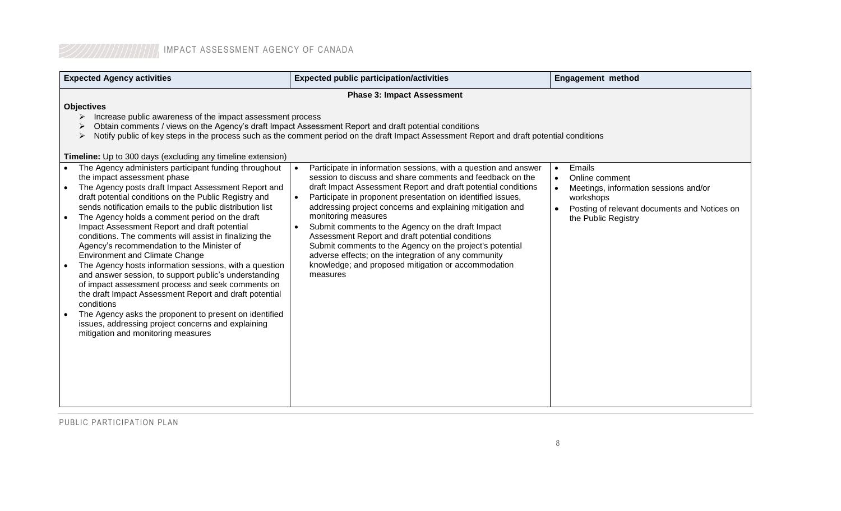|  |  | IMPACT ASSESSMENT AGENCY OF CANADA |  |  |  |
|--|--|------------------------------------|--|--|--|
|--|--|------------------------------------|--|--|--|

| <b>Expected Agency activities</b>                                                                                                                                                                                                                                                                                                                                                                                                                                                                                                                                                                                                                                                                                                                                                                                                                                                                                          | <b>Expected public participation/activities</b>                                                                                                                                                                                                                                                                                                                                                                                                                                                                                                                                                                                                  | <b>Engagement method</b>                                                                                                                              |  |
|----------------------------------------------------------------------------------------------------------------------------------------------------------------------------------------------------------------------------------------------------------------------------------------------------------------------------------------------------------------------------------------------------------------------------------------------------------------------------------------------------------------------------------------------------------------------------------------------------------------------------------------------------------------------------------------------------------------------------------------------------------------------------------------------------------------------------------------------------------------------------------------------------------------------------|--------------------------------------------------------------------------------------------------------------------------------------------------------------------------------------------------------------------------------------------------------------------------------------------------------------------------------------------------------------------------------------------------------------------------------------------------------------------------------------------------------------------------------------------------------------------------------------------------------------------------------------------------|-------------------------------------------------------------------------------------------------------------------------------------------------------|--|
| <b>Phase 3: Impact Assessment</b>                                                                                                                                                                                                                                                                                                                                                                                                                                                                                                                                                                                                                                                                                                                                                                                                                                                                                          |                                                                                                                                                                                                                                                                                                                                                                                                                                                                                                                                                                                                                                                  |                                                                                                                                                       |  |
| <b>Objectives</b><br>Increase public awareness of the impact assessment process<br>Obtain comments / views on the Agency's draft Impact Assessment Report and draft potential conditions<br>Notify public of key steps in the process such as the comment period on the draft Impact Assessment Report and draft potential conditions<br>Timeline: Up to 300 days (excluding any timeline extension)                                                                                                                                                                                                                                                                                                                                                                                                                                                                                                                       |                                                                                                                                                                                                                                                                                                                                                                                                                                                                                                                                                                                                                                                  |                                                                                                                                                       |  |
| The Agency administers participant funding throughout<br>the impact assessment phase<br>The Agency posts draft Impact Assessment Report and<br>draft potential conditions on the Public Registry and<br>sends notification emails to the public distribution list<br>The Agency holds a comment period on the draft<br>Impact Assessment Report and draft potential<br>conditions. The comments will assist in finalizing the<br>Agency's recommendation to the Minister of<br><b>Environment and Climate Change</b><br>The Agency hosts information sessions, with a question<br>and answer session, to support public's understanding<br>of impact assessment process and seek comments on<br>the draft Impact Assessment Report and draft potential<br>conditions<br>The Agency asks the proponent to present on identified<br>issues, addressing project concerns and explaining<br>mitigation and monitoring measures | Participate in information sessions, with a question and answer<br>session to discuss and share comments and feedback on the<br>draft Impact Assessment Report and draft potential conditions<br>Participate in proponent presentation on identified issues,<br>addressing project concerns and explaining mitigation and<br>monitoring measures<br>Submit comments to the Agency on the draft Impact<br>Assessment Report and draft potential conditions<br>Submit comments to the Agency on the project's potential<br>adverse effects; on the integration of any community<br>knowledge; and proposed mitigation or accommodation<br>measures | Emails<br>Online comment<br>Meetings, information sessions and/or<br>workshops<br>Posting of relevant documents and Notices on<br>the Public Registry |  |

PUBLIC PARTICIPATION PLAN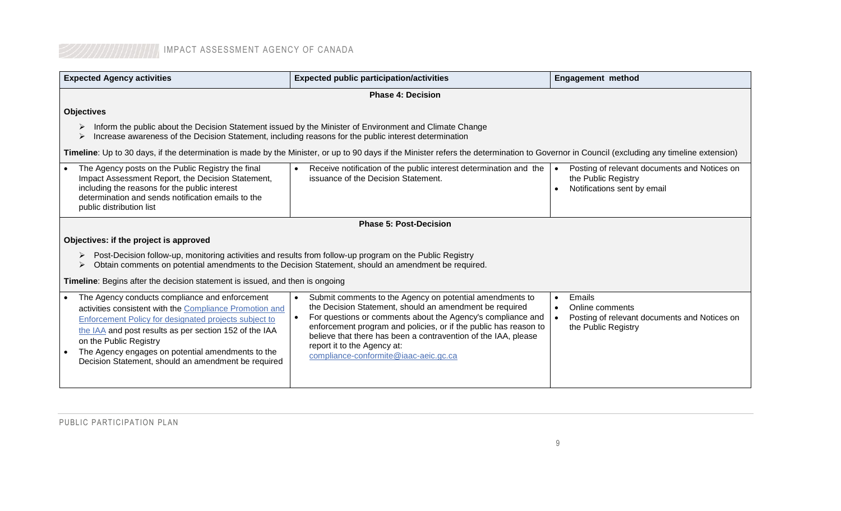| <b>Expected Agency activities</b>                                                                                                                                                                                                                                                                                                                                               | <b>Expected public participation/activities</b>                                                                                                                                                                                                                                                                                                                                                  | <b>Engagement method</b>                                                                                      |  |
|---------------------------------------------------------------------------------------------------------------------------------------------------------------------------------------------------------------------------------------------------------------------------------------------------------------------------------------------------------------------------------|--------------------------------------------------------------------------------------------------------------------------------------------------------------------------------------------------------------------------------------------------------------------------------------------------------------------------------------------------------------------------------------------------|---------------------------------------------------------------------------------------------------------------|--|
|                                                                                                                                                                                                                                                                                                                                                                                 | <b>Phase 4: Decision</b>                                                                                                                                                                                                                                                                                                                                                                         |                                                                                                               |  |
| <b>Objectives</b>                                                                                                                                                                                                                                                                                                                                                               |                                                                                                                                                                                                                                                                                                                                                                                                  |                                                                                                               |  |
| Inform the public about the Decision Statement issued by the Minister of Environment and Climate Change<br>Increase awareness of the Decision Statement, including reasons for the public interest determination                                                                                                                                                                |                                                                                                                                                                                                                                                                                                                                                                                                  |                                                                                                               |  |
|                                                                                                                                                                                                                                                                                                                                                                                 | Timeline: Up to 30 days, if the determination is made by the Minister, or up to 90 days if the Minister refers the determination to Governor in Council (excluding any timeline extension)                                                                                                                                                                                                       |                                                                                                               |  |
| The Agency posts on the Public Registry the final<br>Impact Assessment Report, the Decision Statement,<br>including the reasons for the public interest<br>determination and sends notification emails to the<br>public distribution list                                                                                                                                       | Receive notification of the public interest determination and the<br>issuance of the Decision Statement.                                                                                                                                                                                                                                                                                         | Posting of relevant documents and Notices on<br>the Public Registry<br>Notifications sent by email            |  |
|                                                                                                                                                                                                                                                                                                                                                                                 | <b>Phase 5: Post-Decision</b>                                                                                                                                                                                                                                                                                                                                                                    |                                                                                                               |  |
| Objectives: if the project is approved                                                                                                                                                                                                                                                                                                                                          |                                                                                                                                                                                                                                                                                                                                                                                                  |                                                                                                               |  |
| Post-Decision follow-up, monitoring activities and results from follow-up program on the Public Registry<br>Obtain comments on potential amendments to the Decision Statement, should an amendment be required.                                                                                                                                                                 |                                                                                                                                                                                                                                                                                                                                                                                                  |                                                                                                               |  |
| Timeline: Begins after the decision statement is issued, and then is ongoing                                                                                                                                                                                                                                                                                                    |                                                                                                                                                                                                                                                                                                                                                                                                  |                                                                                                               |  |
| The Agency conducts compliance and enforcement<br>$\bullet$<br>activities consistent with the Compliance Promotion and<br>Enforcement Policy for designated projects subject to<br>the IAA and post results as per section 152 of the IAA<br>on the Public Registry<br>The Agency engages on potential amendments to the<br>Decision Statement, should an amendment be required | Submit comments to the Agency on potential amendments to<br>the Decision Statement, should an amendment be required<br>For questions or comments about the Agency's compliance and<br>enforcement program and policies, or if the public has reason to<br>believe that there has been a contravention of the IAA, please<br>report it to the Agency at:<br>compliance-conformite@iaac-aeic.gc.ca | Emails<br>$\bullet$<br>Online comments<br>Posting of relevant documents and Notices on<br>the Public Registry |  |